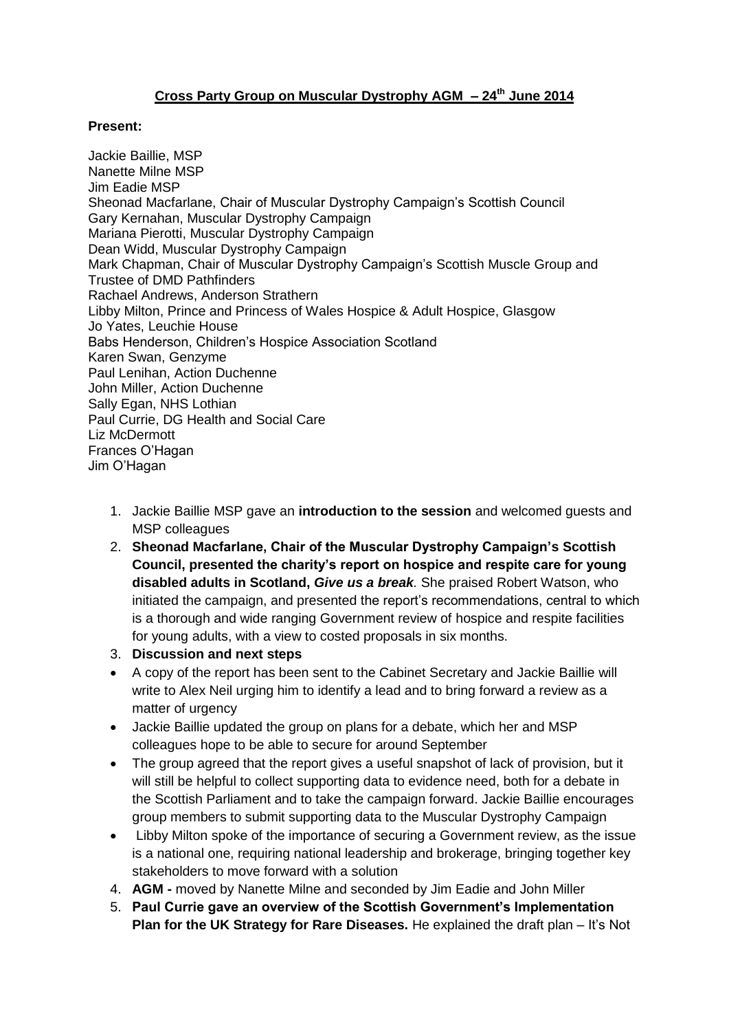## **Cross Party Group on Muscular Dystrophy AGM – 24th June 2014**

## **Present:**

Jackie Baillie, MSP Nanette Milne MSP Jim Eadie MSP Sheonad Macfarlane, Chair of Muscular Dystrophy Campaign's Scottish Council Gary Kernahan, Muscular Dystrophy Campaign Mariana Pierotti, Muscular Dystrophy Campaign Dean Widd, Muscular Dystrophy Campaign Mark Chapman, Chair of Muscular Dystrophy Campaign's Scottish Muscle Group and Trustee of DMD Pathfinders Rachael Andrews, Anderson Strathern Libby Milton, Prince and Princess of Wales Hospice & Adult Hospice, Glasgow Jo Yates, Leuchie House Babs Henderson, Children's Hospice Association Scotland Karen Swan, Genzyme Paul Lenihan, Action Duchenne John Miller, Action Duchenne Sally Egan, NHS Lothian Paul Currie, DG Health and Social Care Liz McDermott Frances O'Hagan Jim O'Hagan

- 1. Jackie Baillie MSP gave an **introduction to the session** and welcomed guests and MSP colleagues
- 2. **Sheonad Macfarlane, Chair of the Muscular Dystrophy Campaign's Scottish Council, presented the charity's report on hospice and respite care for young disabled adults in Scotland,** *Give us a break.* She praised Robert Watson, who initiated the campaign, and presented the report's recommendations, central to which is a thorough and wide ranging Government review of hospice and respite facilities for young adults, with a view to costed proposals in six months.
- 3. **Discussion and next steps**
- A copy of the report has been sent to the Cabinet Secretary and Jackie Baillie will write to Alex Neil urging him to identify a lead and to bring forward a review as a matter of urgency
- Jackie Baillie updated the group on plans for a debate, which her and MSP colleagues hope to be able to secure for around September
- The group agreed that the report gives a useful snapshot of lack of provision, but it will still be helpful to collect supporting data to evidence need, both for a debate in the Scottish Parliament and to take the campaign forward. Jackie Baillie encourages group members to submit supporting data to the Muscular Dystrophy Campaign
- Libby Milton spoke of the importance of securing a Government review, as the issue is a national one, requiring national leadership and brokerage, bringing together key stakeholders to move forward with a solution
- 4. **AGM -** moved by Nanette Milne and seconded by Jim Eadie and John Miller
- 5. **Paul Currie gave an overview of the Scottish Government's Implementation Plan for the UK Strategy for Rare Diseases.** He explained the draft plan – It's Not